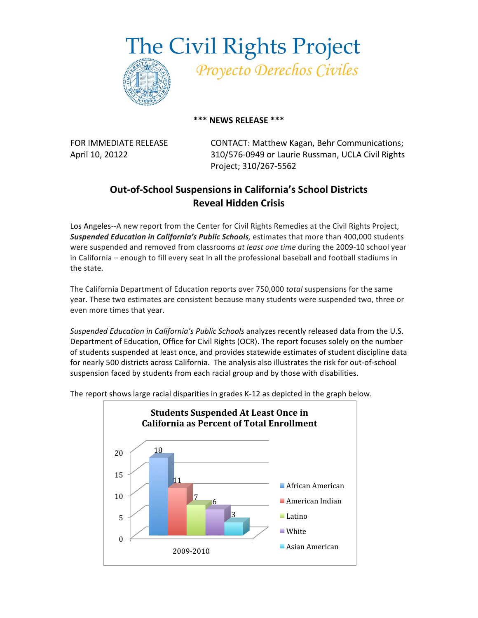**The Civil Rights Project** 



Proyecto Derechos Civiles

## **\*\*\*
NEWS
RELEASE
\*\*\***

FOR
IMMEDIATE
RELEASE CONTACT:
Matthew
Kagan,
Behr Communications; April
10,
20122 310/576‐0949
or
Laurie
Russman,
UCLA
Civil
Rights Project;
310/267‐5562

## **Out‐of‐School
Suspensions
in
California's
School
Districts Reveal
Hidden
Crisis**

Los Angeles--A new report from the Center for Civil Rights Remedies at the Civil Rights Project, Suspended Education in California's Public Schools, estimates that more than 400,000 students were suspended and removed from classrooms *at least one time* during the 2009-10 school year in California - enough to fill every seat in all the professional baseball and football stadiums in the
state.

The California Department of Education reports over 750,000 total suspensions for the same year. These two estimates are consistent because many students were suspended two, three or even
more
times
that
year.

Suspended Education in California's Public Schools analyzes recently released data from the U.S. Department of Education, Office for Civil Rights (OCR). The report focuses solely on the number of students suspended at least once, and provides statewide estimates of student discipline data for nearly 500 districts across California. The analysis also illustrates the risk for out-of-school suspension faced by students from each racial group and by those with disabilities.



The report shows large racial disparities in grades K-12 as depicted in the graph below.